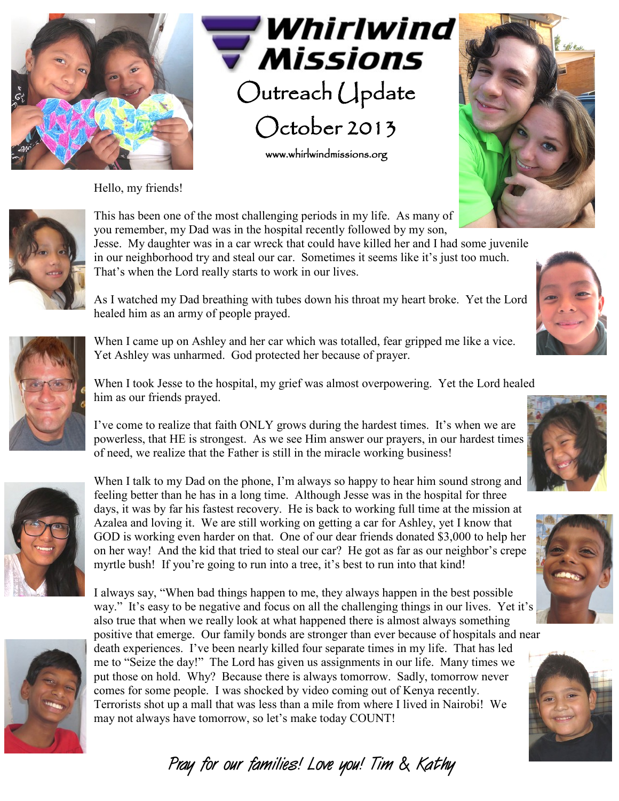



www.whirlwindmissions.org

Hello, my friends!





This has been one of the most challenging periods in my life. As many of you remember, my Dad was in the hospital recently followed by my son, Jesse. My daughter was in a car wreck that could have killed her and I had some juvenile in our neighborhood try and steal our car. Sometimes it seems like it's just too much. That's when the Lord really starts to work in our lives.

As I watched my Dad breathing with tubes down his throat my heart broke. Yet the Lord healed him as an army of people prayed.



When I came up on Ashley and her car which was totalled, fear gripped me like a vice. Yet Ashley was unharmed. God protected her because of prayer.

When I took Jesse to the hospital, my grief was almost overpowering. Yet the Lord healed him as our friends prayed.

I've come to realize that faith ONLY grows during the hardest times. It's when we are powerless, that HE is strongest. As we see Him answer our prayers, in our hardest times of need, we realize that the Father is still in the miracle working business!



When I talk to my Dad on the phone, I'm always so happy to hear him sound strong and feeling better than he has in a long time. Although Jesse was in the hospital for three days, it was by far his fastest recovery. He is back to working full time at the mission at Azalea and loving it. We are still working on getting a car for Ashley, yet I know that GOD is working even harder on that. One of our dear friends donated \$3,000 to help her on her way! And the kid that tried to steal our car? He got as far as our neighbor's crepe myrtle bush! If you're going to run into a tree, it's best to run into that kind!



I always say, "When bad things happen to me, they always happen in the best possible way." It's easy to be negative and focus on all the challenging things in our lives. Yet it's also true that when we really look at what happened there is almost always something positive that emerge. Our family bonds are stronger than ever because of hospitals and near death experiences. I've been nearly killed four separate times in my life. That has led me to "Seize the day!" The Lord has given us assignments in our life. Many times we put those on hold. Why? Because there is always tomorrow. Sadly, tomorrow never comes for some people. I was shocked by video coming out of Kenya recently. Terrorists shot up a mall that was less than a mile from where I lived in Nairobi! We may not always have tomorrow, so let's make today COUNT!

**Pray for our families! Love you! Tim & Kathy**